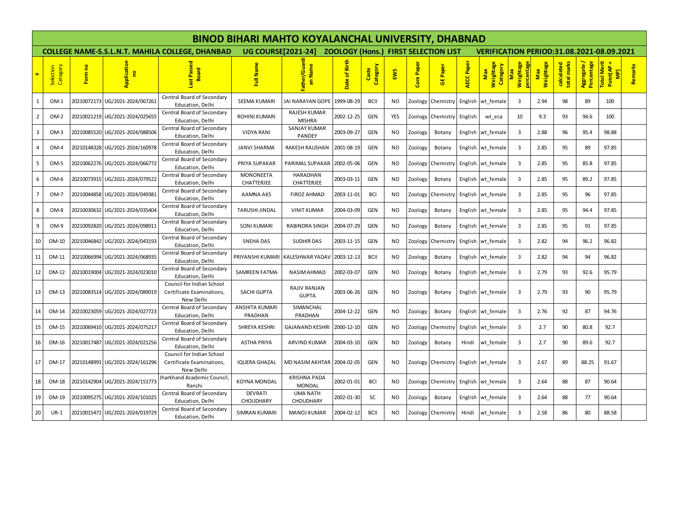|                         |                       |             |                                 |                                                                     | <b>BINOD BIHARI MAHTO KOYALANCHAL UNIVERSITY, DHABNAD</b> |                                      |                                             |                   |           |            |                   |            |                                                  |                       |                  |                           |                           |                                  |         |  |  |  |
|-------------------------|-----------------------|-------------|---------------------------------|---------------------------------------------------------------------|-----------------------------------------------------------|--------------------------------------|---------------------------------------------|-------------------|-----------|------------|-------------------|------------|--------------------------------------------------|-----------------------|------------------|---------------------------|---------------------------|----------------------------------|---------|--|--|--|
|                         |                       |             |                                 | <b>COLLEGE NAME-S.S.L.N.T. MAHILA COLLEGE, DHANBAD</b>              | <b>UG COURSE[2021-24]</b>                                 |                                      | <b>ZOOLOGY (Hons.) FIRST SELECTION LIST</b> |                   |           |            |                   |            | <b>VERIFICATION PERIOD:31.08.2021-08.09.2021</b> |                       |                  |                           |                           |                                  |         |  |  |  |
|                         | Category<br>Selection | Form no     | Application<br>$\mathbf{e}$     | Passe<br><b>Board</b><br>last                                       | Full Name                                                 | Father/Guard<br>an Name              | Birth<br>৳<br>Date                          | Category<br>Caste | EWS       | Core Paper | <b>GE</b> Paper   | AECC Paper | Weightage<br>Category<br>Max                     | Weightage<br><b>e</b> | Weightage<br>Max | calculated<br>total marks | Aggregate /<br>Percentage | Total Merit<br>Point(AP +<br>MP) | Remarks |  |  |  |
| $\mathbf{1}$            | $OM-1$                | 20210072173 | UG/2021-2024/067261             | Central Board of Secondary<br>Education, Delhi                      | SEEMA KUMARI                                              | JAI NARAYAN GOPE                     | 1999-08-29                                  | <b>BCII</b>       | NO.       | Zoology    | Chemistry         | English    | wt female                                        | 3                     | 2.94             | 98                        | 89                        | 100                              |         |  |  |  |
| $\overline{2}$          | $OM-2$                | 20210021219 | UG/2021-2024/025655             | Central Board of Secondary<br>Education, Delhi                      | <b>ROHINI KUMARI</b>                                      | RAJESH KUMAR<br><b>MISHRA</b>        | 2002-12-25                                  | <b>GEN</b>        | YES       | Zoology    | Chemistry         | English    | wt eca                                           | 10                    | 9.3              | 93                        | 94.6                      | 100                              |         |  |  |  |
| $\overline{\mathbf{3}}$ | $OM-3$                | 20210085520 | UG/2021-2024/088506             | Central Board of Secondary<br>Education, Delhi                      | <b>VIDYA RANI</b>                                         | SANJAY KUMAR<br><b>PANDEY</b>        | 2003-09-27                                  | <b>GEN</b>        | <b>NO</b> | Zoology    | Botany            |            | English wt female                                | 3                     | 2.88             | 96                        | 95.4                      | 98.88                            |         |  |  |  |
| $\overline{4}$          | OM-4                  |             | 20210148328 UG/2021-2024/160978 | Central Board of Secondary<br>Education, Delhi                      | <b>JANVI SHARMA</b>                                       | RAKESH RAUSHAN                       | 2001-08-19                                  | <b>GEN</b>        | <b>NO</b> | Zoology    | Botany            |            | English wt female                                | $\overline{3}$        | 2.85             | 95                        | 89                        | 97.85                            |         |  |  |  |
| 5                       | OM-5                  | 20210062276 | UG/2021-2024/066772             | Central Board of Secondary<br>Education, Delhi                      | PRIYA SUPAKAR                                             | PARIMAL SUPAKAR                      | 2002-05-06                                  | <b>GEN</b>        | NO.       | Zoology    | Chemistry         | English    | wt female                                        | 3                     | 2.85             | 95                        | 85.8                      | 97.85                            |         |  |  |  |
| 6                       | $OM-6$                |             |                                 | Central Board of Secondary<br>Education, Delhi                      | <b>MONONEETA</b><br><b>CHATTERJEE</b>                     | <b>HARADHAN</b><br>CHATTERJEE        | 2003-03-11                                  | <b>GEN</b>        | <b>NO</b> | Zoology    | Botany            |            | English wt female                                | 3                     | 2.85             | 95                        | 89.2                      | 97.85                            |         |  |  |  |
| $\overline{7}$          | OM-7                  | 20210044858 | UG/2021-2024/049381             | Central Board of Secondary<br>Education, Delhi                      | <b>AAMNA AKS</b>                                          | <b>FIROZ AHMAD</b>                   | 2003-11-01                                  | <b>BCI</b>        | NO.       | Zoology    | Chemistry         |            | English wt female                                | 3                     | 2.85             | 95                        | 96                        | 97.85                            |         |  |  |  |
| 8                       | $OM-8$                | 20210030632 | UG/2021-2024/035404             | Central Board of Secondary<br>Education, Delhi                      | <b>TARUSHI JINDAL</b>                                     | <b>VINIT KUMAR</b>                   | 2004-03-09                                  | <b>GEN</b>        | <b>NO</b> | Zoology    | Botany            |            | English wt female                                | 3                     | 2.85             | 95                        | 94.4                      | 97.85                            |         |  |  |  |
| 9                       | $OM-9$                | 20210092820 | UG/2021-2024/09891:             | Central Board of Secondary<br>Education, Delhi                      | <b>SONI KUMARI</b>                                        | RABINDRA SINGH                       | 2004-07-29                                  | <b>GEN</b>        | <b>NO</b> | Zoology    | Botany            |            | English wt female                                | 3                     | 2.85             | 95                        | 91                        | 97.85                            |         |  |  |  |
| 10                      | OM-10                 | 20210046842 | UG/2021-2024/043193             | Central Board of Secondary<br>Education, Delhi                      | SNEHA DAS                                                 | <b>SUDHIR DAS</b>                    | 2003-11-15                                  | <b>GEN</b>        | <b>NO</b> |            | Zoology Chemistry |            | English wt female                                | 3                     | 2.82             | 94                        | 96.2                      | 96.82                            |         |  |  |  |
| 11                      | OM-11                 | 20210066994 | UG/2021-2024/068935             | Central Board of Secondary<br>Education, Delhi                      | PRIYANSHI KUMARI                                          | KALESHWAR YADAV                      | 2003-12-13                                  | <b>BCII</b>       | <b>NO</b> | Zoology    | Botany            |            | English wt female                                | 3                     | 2.82             | 94                        | 94                        | 96.82                            |         |  |  |  |
| 12                      | OM-12                 | 20210019004 | UG/2021-2024/023010             | Central Board of Secondary<br>Education, Delhi                      | <b>SAMREEN FATMA</b>                                      | NASIM AHMAD                          | 2002-03-07                                  | <b>GEN</b>        | <b>NO</b> | Zoology    | Botany            |            | English wt female                                | 3                     | 2.79             | 93                        | 92.6                      | 95.79                            |         |  |  |  |
| 13                      | OM-13                 |             | 20210083514 UG/2021-2024/089019 | Council for Indian School<br>Certificate Examinations,<br>New Delhi | SACHI GUPTA                                               | <b>RAJIV RANJAN</b><br><b>GUPTA</b>  | 2003-06-26                                  | <b>GEN</b>        | <b>NO</b> | Zoology    | Botany            |            | English wt female                                | 3                     | 2.79             | 93                        | 90                        | 95.79                            |         |  |  |  |
| 14                      | OM-14                 | 20210023059 | UG/2021-2024/027723             | Central Board of Secondary<br>Education, Delhi                      | <b>ANSHITA KUMARI</b><br>PRADHAN                          | SIMANCHAL<br>PRADHAN                 | 2004-12-22                                  | <b>GEN</b>        | <b>NO</b> | Zoology    | Botany            |            | English wt female                                | $\overline{3}$        | 2.76             | 92                        | 87                        | 94.76                            |         |  |  |  |
| 15                      | OM-15                 | 20210069410 | UG/2021-2024/075217             | Central Board of Secondary<br>Education. Delhi                      | SHREYA KESHRI                                             | GAJANAND KESHRI                      | 2000-12-10                                  | <b>GEN</b>        | NO.       |            | Zoology Chemistry | English    | wt female                                        | 3                     | 2.7              | 90                        | 80.8                      | 92.7                             |         |  |  |  |
| 16                      | OM-16                 |             | 20210017487 UG/2021-2024/021256 | Central Board of Secondary<br>Education, Delhi                      | <b>ASTHA PRIYA</b>                                        | <b>ARVIND KUMAR</b>                  | 2004-03-10                                  | <b>GEN</b>        | NO.       | Zoology    | Botany            | Hindi      | wt female                                        | $\overline{3}$        | 2.7              | 90                        | 89.6                      | 92.7                             |         |  |  |  |
| 17                      | OM-17                 |             | 20210148991 UG/2021-2024/161296 | Council for Indian School<br>Certificate Examinations,<br>New Delhi | <b>IQUERA GHAZAL</b>                                      | MD NASIM AKHTAR   2004-02-05         |                                             | <b>GEN</b>        | <b>NO</b> |            | Zoology Chemistry |            | English wt female                                | 3                     | 2.67             | 89                        | 88.25                     | 91.67                            |         |  |  |  |
| 18                      | OM-18                 | 20210142904 | UG/2021-2024/151773             | Iharkhand Academic Council<br>Ranchi                                | <b>KOYNA MONDAL</b>                                       | <b>KRISHNA PADA</b><br><b>MONDAL</b> | 2002-01-01                                  | <b>BCI</b>        | NO.       |            | Zoology Chemistry |            | English wt female                                | 3                     | 2.64             | 88                        | 87                        | 90.64                            |         |  |  |  |
| 19                      | OM-19                 |             | 20210095275 UG/2021-2024/101025 | Central Board of Secondary<br>Education, Delhi                      | <b>DEVRATI</b><br><b>CHOUDHARY</b>                        | <b>UMA NATH</b><br><b>CHOUDHARY</b>  | 2002-01-30                                  | SC                | <b>NO</b> | Zoology    | Botany            |            | English wt female                                | $\overline{3}$        | 2.64             | 88                        | 77                        | 90.64                            |         |  |  |  |
| 20                      | $UR-1$                | 20210015471 | UG/2021-2024/019729             | Central Board of Secondary<br>Education, Delhi                      | <b>SIMRAN KUMARI</b>                                      | <b>MANOJ KUMAR</b>                   | 2004-02-12                                  | <b>BCII</b>       | <b>NO</b> |            | Zoology Chemistry | Hindi      | wt female                                        | 3                     | 2.58             | 86                        | 80                        | 88.58                            |         |  |  |  |
|                         |                       |             |                                 |                                                                     |                                                           |                                      |                                             |                   |           |            |                   |            |                                                  |                       |                  |                           |                           |                                  |         |  |  |  |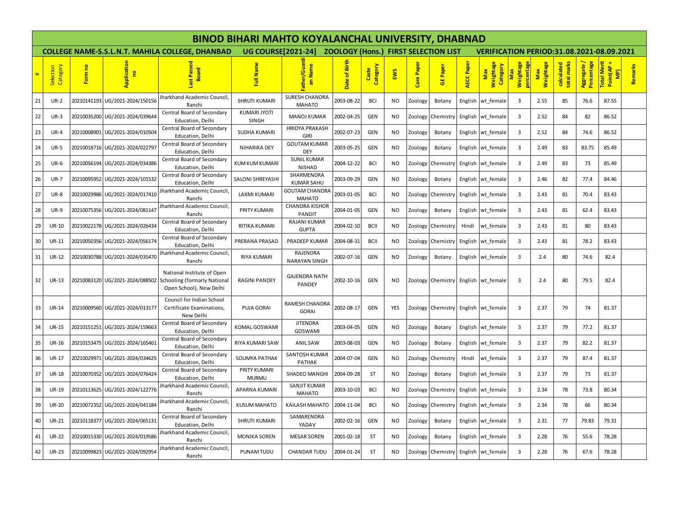|    |                       |             |                                 |                                                                                                                       |                              | <b>BINOD BIHARI MAHTO KOYALANCHAL UNIVERSITY, DHABNAD</b> |                                             |                   |           |            |                   |            |                                                  |                             |                         |                           |                           |                                  |         |  |  |  |
|----|-----------------------|-------------|---------------------------------|-----------------------------------------------------------------------------------------------------------------------|------------------------------|-----------------------------------------------------------|---------------------------------------------|-------------------|-----------|------------|-------------------|------------|--------------------------------------------------|-----------------------------|-------------------------|---------------------------|---------------------------|----------------------------------|---------|--|--|--|
|    |                       |             |                                 | <b>COLLEGE NAME-S.S.L.N.T. MAHILA COLLEGE, DHANBAD</b>                                                                | <b>UG COURSE[2021-24]</b>    |                                                           | <b>ZOOLOGY (Hons.) FIRST SELECTION LIST</b> |                   |           |            |                   |            | <b>VERIFICATION PERIOD:31.08.2021-08.09.2021</b> |                             |                         |                           |                           |                                  |         |  |  |  |
|    | Category<br>Selection | Form no     | Application<br>g                | Passed<br><b>Board</b><br><b>ise</b>                                                                                  | Full Name                    | Father/Guard<br>an Name                                   | Birth<br>৳<br>Date                          | Category<br>Caste | EWS       | Core Paper | <b>GE Paper</b>   | AECC Paper | Weightage<br>Category<br>Max                     | Weightage<br><b>rcentag</b> | Weightage<br><b>Max</b> | calculated<br>total marks | Aggregate /<br>Percentage | Total Merit<br>Point(AP +<br>MP) | Remarks |  |  |  |
| 21 | <b>UR-2</b>           |             | 20210141193 UG/2021-2024/150156 | Jharkhand Academic Council,<br>Ranchi                                                                                 | <b>SHRUTI KUMARI</b>         | SURESH CHANDRA<br><b>MAHATO</b>                           | 2003-08-22                                  | <b>BCI</b>        | NO        | Zoology    | Botany            |            | English wt_female                                | 3                           | 2.55                    | 85                        | 76.6                      | 87.55                            |         |  |  |  |
| 22 | $UR-3$                | 20210035200 | UG/2021-2024/039644             | Central Board of Secondary<br>Education, Delhi                                                                        | KUMARI JYOTI<br>SINGH        | <b>MANOJ KUMAR</b>                                        | 2002-04-25                                  | <b>GEN</b>        | NO        | Zoology    | Chemistry         |            | English wt_female                                | 3                           | 2.52                    | 84                        | 82                        | 86.52                            |         |  |  |  |
| 23 | $UR-4$                |             | 20210008901 UG/2021-2024/010504 | Central Board of Secondary<br>Education, Delhi                                                                        | SUDHA KUMARI                 | <b>HRIDYA PRAKASH</b><br><b>GIRI</b>                      | 2002-07-23                                  | <b>GEN</b>        | NO.       | Zoology    | Botany            |            | English wt_female                                | 3                           | 2.52                    | 84                        | 74.6                      | 86.52                            |         |  |  |  |
| 24 | <b>UR-5</b>           |             | 20210018716 UG/2021-2024/022797 | Central Board of Secondary<br>Education, Delhi                                                                        | NIHARIKA DEY                 | <b>GOUTAM KUMAR</b><br><b>DEY</b>                         | 2003-05-25                                  | <b>GEN</b>        | NO        | Zoology    | Botany            |            | English wt_female                                | 3                           | 2.49                    | 83                        | 83.75                     | 85.49                            |         |  |  |  |
| 25 | <b>UR-6</b>           |             | 20210056194 UG/2021-2024/034386 | Central Board of Secondary<br>Education, Delhi                                                                        | <b>KUM KUM KUMARI</b>        | <b>SUNIL KUMAR</b><br>NISHAD                              | 2004-12-22                                  | <b>BCI</b>        | NO.       | Zoology    | Chemistry         |            | English wt female                                | 3                           | 2.49                    | 83                        | -73                       | 85.49                            |         |  |  |  |
| 26 | <b>UR-7</b>           |             | 20210095952 UG/2021-2024/101532 | Central Board of Secondary<br>Education, Delhi                                                                        | SALONI SHREYASHI             | SHARMENDRA<br><b>KUMAR SAHU</b>                           | 2003-09-29                                  | <b>GEN</b>        | NO        | Zoology    | Botany            |            | English wt female                                | 3                           | 2.46                    | 82                        | 77.4                      | 84.46                            |         |  |  |  |
| 27 | <b>UR-8</b>           |             | 20210029986 UG/2021-2024/017410 | Jharkhand Academic Council<br>Ranchi                                                                                  | LAXMI KUMARI                 | GOUTAM CHANDRA<br><b>MAHATO</b>                           | 2003-01-05                                  | <b>BCI</b>        | NO.       | Zoology    | Chemistry         |            | English wt_female                                | 3                           | 2.43                    | 81                        | 70.4                      | 83.43                            |         |  |  |  |
| 28 | <b>UR-9</b>           |             | 20210075356 UG/2021-2024/081147 | Iharkhand Academic Council<br>Ranchi                                                                                  | PRITY KUMARI                 | <b>CHANDRA KISHOR</b><br>PANDIT                           | 2004-01-05                                  | <b>GEN</b>        | NO.       | Zoology    | Botany            |            | English wt female                                | 3                           | 2.43                    | 81                        | 62.4                      | 83.43                            |         |  |  |  |
| 29 | <b>UR-10</b>          |             | 20210022178 UG/2021-2024/026434 | Central Board of Secondary<br>Education, Delhi                                                                        | RITIKA KUMARI                | RAJANI KUMAR<br><b>GUPTA</b>                              | 2004-02-10                                  | <b>BCII</b>       | NO        | Zoology    | Chemistry         | Hindi      | wt female                                        | 3                           | 2.43                    | 81                        | 80                        | 83.43                            |         |  |  |  |
| 30 | UR-11                 |             | 20210050356 UG/2021-2024/056174 | Central Board of Secondary<br>Education, Delhi                                                                        | PRERANA PRASAD               | PRADEEP KUMAR                                             | 2004-08-31                                  | <b>BCII</b>       | NO.       | Zoology    | Chemistry         |            | English wt female                                | 3                           | 2.43                    | 81                        | 78.2                      | 83.43                            |         |  |  |  |
| 31 | <b>UR-12</b>          |             | 20210030788 UG/2021-2024/035470 | Jharkhand Academic Council<br>Ranchi                                                                                  | RIYA KUMARI                  | RAJENDRA<br><b>NARAYAN SINGH</b>                          | 2002-07-16                                  | <b>GEN</b>        | NO        | Zoology    | Botany            |            | English wt female                                | 3                           | 2.4                     | 80                        | 74.6                      | 82.4                             |         |  |  |  |
| 32 | <b>UR-13</b>          |             |                                 | National Institute of Open<br>20210083120 UG/2021-2024/088502 Schooling (formarly National<br>Open School), New Delhi | <b>RAGINI PANDEY</b>         | <b>GAJENDRA NATH</b><br>PANDEY                            | 2002-10-16                                  | <b>GEN</b>        | NO.       | Zoology    | Chemistry         |            | English wt female                                | 3                           | 2.4                     | 80                        | 79.5                      | 82.4                             |         |  |  |  |
| 33 | <b>UR-14</b>          |             | 20210009560 UG/2021-2024/013177 | Council for Indian School<br>Certificate Examinations,<br>New Delhi                                                   | PUJA GORAI                   | RAMESH CHANDRA<br><b>GORAI</b>                            | 2002-08-17                                  | <b>GEN</b>        | YES       | Zoology    | Chemistry         |            | English wt female                                | 3                           | 2.37                    | 79                        | 74                        | 81.37                            |         |  |  |  |
| 34 | <b>UR-15</b>          |             | 20210151251 UG/2021-2024/159663 | Central Board of Secondary<br>Education, Delhi                                                                        | KOMAL GOSWAMI                | <b>JITENDRA</b><br><b>GOSWAMI</b>                         | 2003-04-05                                  | <b>GEN</b>        | NO.       | Zoology    | Botany            |            | English wt female                                | 3                           | 2.37                    | 79                        | 77.2                      | 81.37                            |         |  |  |  |
| 35 | <b>UR-16</b>          |             | 20210153475 UG/2021-2024/165461 | Central Board of Secondary<br>Education, Delhi                                                                        | RIYA KUMARI SAW              | ANIL SAW                                                  | 2003-08-03                                  | <b>GEN</b>        | NO.       | Zoology    | Botany            |            | English wt female                                | 3                           | 2.37                    | 79                        | 82.2                      | 81.37                            |         |  |  |  |
| 36 | <b>UR-17</b>          | 20210029971 | UG/2021-2024/034625             | Central Board of Secondary<br>Education, Delhi                                                                        | <b>SOUMYA PATHAK</b>         | <b>SANTOSH KUMAR</b><br>PATHAK                            | 2004-07-04                                  | <b>GEN</b>        | NO.       | Zoology    | Chemistry         | Hindi      | wt female                                        | 3                           | 2.37                    | 79                        | 87.4                      | 81.37                            |         |  |  |  |
| 37 | <b>UR-18</b>          |             | 20210070352 UG/2021-2024/076424 | Central Board of Secondary<br>Education, Delhi                                                                        | PRITY KUMARI<br><b>MURMU</b> | <b>SHADEO MANGHI</b>                                      | 2004-09-28                                  | ST                | NO.       | Zoology    | Botany            |            | English wt female                                | 3                           | 2.37                    | 79                        | 73                        | 81.37                            |         |  |  |  |
| 38 | <b>UR-19</b>          |             |                                 | Jharkhand Academic Council<br>Ranchi                                                                                  | APARNA KUMARI                | <b>SANJIT KUMAR</b><br><b>MAHATO</b>                      | 2003-10-03                                  | <b>BCI</b>        | NO        | Zoology    | Chemistry         |            | English wt female                                | 3                           | 2.34                    | 78                        | 73.8                      | 80.34                            |         |  |  |  |
| 39 | <b>UR-20</b>          |             | 20210072352 UG/2021-2024/041184 | Iharkhand Academic Council<br>Ranchi                                                                                  | <b>KUSUM MAHATO</b>          | <b>KAILASH MAHATO</b>                                     | 2004-11-04                                  | <b>BCI</b>        | NO.       |            | Zoology Chemistry |            | English wt female                                | 3                           | 2.34                    | 78                        | 66                        | 80.34                            |         |  |  |  |
| 40 | <b>UR-21</b>          |             | 20210118377 UG/2021-2024/065131 | Central Board of Secondary<br>Education, Delhi                                                                        | SHRUTI KUMARI                | SAMARENDRA<br>YADAV                                       | 2002-02-16                                  | <b>GEN</b>        | <b>NO</b> | Zoology    | Botany            |            | English wt female                                | $\overline{\mathbf{3}}$     | 2.31                    | 77                        | 79.83                     | 79.31                            |         |  |  |  |
| 41 | <b>UR-22</b>          |             | 20210015330 UG/2021-2024/019586 | Jharkhand Academic Council,<br>Ranchi                                                                                 | <b>MONIKA SOREN</b>          | <b>MESAR SOREN</b>                                        | 2001-02-18                                  | ST                | <b>NO</b> | Zoology    | Botany            |            | English wt female                                | 3                           | 2.28                    | 76                        | 55.6                      | 78.28                            |         |  |  |  |
| 42 | <b>UR-23</b>          |             | 20210099823 UG/2021-2024/092954 | Jharkhand Academic Council,<br>Ranchi                                                                                 | PUNAM TUDU                   | <b>CHANDAR TUDU</b>                                       | 2004-01-24                                  | ST                | NO        |            | Zoology Chemistry |            | English wt_female                                | 3                           | 2.28                    | 76                        | 67.6                      | 78.28                            |         |  |  |  |
|    |                       |             |                                 |                                                                                                                       |                              |                                                           |                                             |                   |           |            |                   |            |                                                  |                             |                         |                           |                           |                                  |         |  |  |  |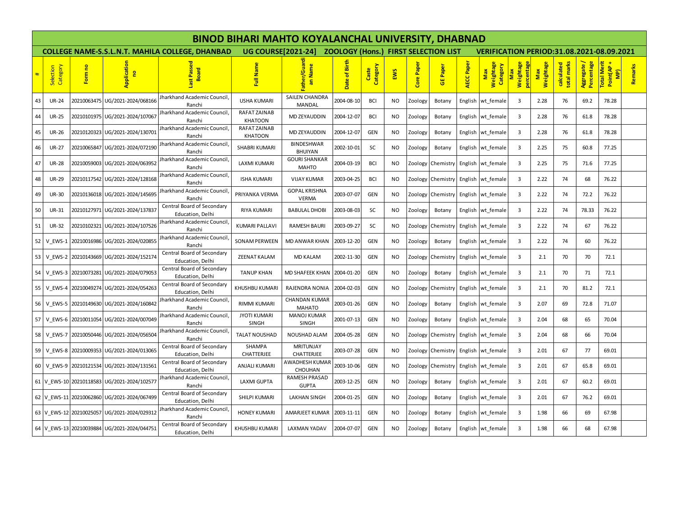|           |                       |                         |                                 |                                                        | <b>BINOD BIHARI MAHTO KOYALANCHAL UNIVERSITY, DHABNAD</b> |                                      |                                             |                   |           |            |                   |            |                                                  |                         |                  |                           |                          |                                  |         |  |  |
|-----------|-----------------------|-------------------------|---------------------------------|--------------------------------------------------------|-----------------------------------------------------------|--------------------------------------|---------------------------------------------|-------------------|-----------|------------|-------------------|------------|--------------------------------------------------|-------------------------|------------------|---------------------------|--------------------------|----------------------------------|---------|--|--|
|           |                       |                         |                                 | <b>COLLEGE NAME-S.S.L.N.T. MAHILA COLLEGE, DHANBAD</b> | <b>UG COURSE[2021-24]</b>                                 |                                      | <b>ZOOLOGY (Hons.) FIRST SELECTION LIST</b> |                   |           |            |                   |            | <b>VERIFICATION PERIOD:31.08.2021-08.09.2021</b> |                         |                  |                           |                          |                                  |         |  |  |
| $\ddot{}$ | Selection<br>Category | Form no                 | Application<br>$\mathbf{e}$     | Passe<br><b>Board</b>                                  | Full Name                                                 | ather/Guardi<br>an Name              | Birth<br>৳<br>Date                          | Category<br>Caste | EWS       | Core Paper | <b>GE Paper</b>   | AECC Paper | Weightage<br>Category<br>Max                     | Weightage<br>percentage | Weightage<br>Max | calculated<br>total marks | Agregate /<br>Percentage | Total Merit<br>Point(AP +<br>MP) | Remarks |  |  |
| 43        | <b>UR-24</b>          | 20210063475             | UG/2021-2024/068166             | Jharkhand Academic Council<br>Ranchi                   | <b>USHA KUMARI</b>                                        | SAILEN CHANDRA<br>MANDAL             | 2004-08-10                                  | <b>BCI</b>        | NO.       | Zoology    | Botany            | English    | wt female                                        | 3                       | 2.28             | 76                        | 69.2                     | 78.28                            |         |  |  |
| 44        | <b>UR-25</b>          | 20210101975             | UG/2021-2024/107067             | harkhand Academic Council<br>Ranchi                    | RAFAT ZAINAB<br><b>KHATOON</b>                            | <b>MD ZEYAUDDIN</b>                  | 2004-12-07                                  | <b>BCI</b>        | NO.       | Zoology    | Botany            |            | English wt female                                | 3                       | 2.28             | 76                        | 61.8                     | 78.28                            |         |  |  |
| 45        | <b>UR-26</b>          | 20210120323             | UG/2021-2024/130701             | Jharkhand Academic Council<br>Ranchi                   | RAFAT ZAINAB<br><b>KHATOON</b>                            | MD ZEYAUDDIN                         | 2004-12-07                                  | <b>GEN</b>        | <b>NO</b> | Zoology    | Botany            |            | English wt_female                                | 3                       | 2.28             | 76                        | 61.8                     | 78.28                            |         |  |  |
| 46        | <b>UR-27</b>          | 20210065847             | UG/2021-2024/072190             | harkhand Academic Council<br>Ranchi                    | <b>SHABRI KUMARI</b>                                      | BINDESHWAR<br><b>BHUIYAN</b>         | 2002-10-01                                  | <b>SC</b>         | NO.       | Zoology    | Botany            |            | English wt_female                                | $\overline{3}$          | 2.25             | 75                        | 60.8                     | 77.25                            |         |  |  |
| 47        | <b>UR-28</b>          | 20210059003             | UG/2021-2024/063952             | <b>Iharkhand Academic Council</b><br>Ranchi            | <b>LAXMI KUMARI</b>                                       | <b>GOURI SHANKAR</b><br><b>MAHTO</b> | 2004-03-19                                  | <b>BCI</b>        | NO.       | Zoology    | Chemistry         | English    | wt female                                        | 3                       | 2.25             | 75                        | 71.6                     | 77.25                            |         |  |  |
| 48        | <b>UR-29</b>          |                         | 20210117542 UG/2021-2024/128168 | <b>Iharkhand Academic Council</b><br>Ranchi            | <b>ISHA KUMARI</b>                                        | <b>VIJAY KUMAR</b>                   | 2003-04-25                                  | <b>BCI</b>        | <b>NO</b> |            | Zoology Chemistry |            | English wt female                                | 3                       | 2.22             | 74                        | 68                       | 76.22                            |         |  |  |
| 49        | <b>UR-30</b>          | 20210136018             | UG/2021-2024/145695             | Iharkhand Academic Council<br>Ranchi                   | PRIYANKA VERMA                                            | <b>GOPAL KRISHNA</b><br><b>VERMA</b> | 2003-07-07                                  | <b>GEN</b>        | NO.       |            | Zoology Chemistry |            | English wt_female                                | 3                       | 2.22             | 74                        | 72.2                     | 76.22                            |         |  |  |
| 50        | <b>UR-31</b>          |                         | 20210127971 UG/2021-2024/137837 | Central Board of Secondary<br>Education, Delhi         | RIYA KUMARI                                               | <b>BABULAL DHOBI</b>                 | 2003-08-03                                  | <b>SC</b>         | <b>NO</b> | Zoology    | Botany            |            | English wt female                                | 3                       | 2.22             | 74                        | 78.33                    | 76.22                            |         |  |  |
| 51        | <b>UR-32</b>          | 20210102321             | UG/2021-2024/107526             | Jharkhand Academic Council<br>Ranchi                   | <b>KUMARI PALLAVI</b>                                     | <b>RAMESH BAURI</b>                  | 2003-09-27                                  | SC                | <b>NO</b> |            | Zoology Chemistry |            | English wt female                                | 3                       | 2.22             | 74                        | 67                       | 76.22                            |         |  |  |
| 52        | V EWS-1               | 20210016986             | UG/2021-2024/020855             | harkhand Academic Council<br>Ranchi                    | <b>SONAM PERWEEN</b>                                      | <b>MD ANWAR KHAN</b>                 | 2003-12-20                                  | <b>GEN</b>        | NO.       | Zoology    | Botany            |            | English wt female                                | $\overline{3}$          | 2.22             | 74                        | 60                       | 76.22                            |         |  |  |
| 53        | V EWS-2               | 20210143669             | UG/2021-2024/152174             | Central Board of Secondary<br>Education, Delhi         | <b>ZEENAT KALAM</b>                                       | <b>MD KALAM</b>                      | 2002-11-30                                  | <b>GEN</b>        | <b>NO</b> | Zoology    | Chemistry         |            | English wt female                                | 3                       | 2.1              | 70                        | 70                       | 72.1                             |         |  |  |
| 54        | V EWS-3               | 20210073281             | UG/2021-2024/079053             | Central Board of Secondary<br>Education, Delhi         | <b>TANUP KHAN</b>                                         | MD SHAFEEK KHAN                      | 2004-01-20                                  | <b>GEN</b>        | <b>NO</b> | Zoology    | Botany            |            | English wt female                                | 3                       | 2.1              | 70                        | 71                       | 72.1                             |         |  |  |
| 55        | V EWS-4               | 20210049274             | UG/2021-2024/054263             | Central Board of Secondary<br>Education, Delhi         | KHUSHBU KUMARI                                            | RAJENDRA NONIA                       | 2004-02-03                                  | <b>GEN</b>        | NO.       |            | Zoology Chemistry |            | English wt_female                                | $\overline{3}$          | 2.1              | 70                        | 81.2                     | 72.1                             |         |  |  |
| 56        | V EWS-5               | 20210149630             | UG/2021-2024/160842             | Jharkhand Academic Council<br>Ranchi                   | RIMMI KUMARI                                              | CHANDAN KUMAR<br><b>MAHATO</b>       | 2003-01-26                                  | <b>GEN</b>        | <b>NO</b> | Zoology    | Botany            |            | English wt female                                | 3                       | 2.07             | 69                        | 72.8                     | 71.07                            |         |  |  |
| 57        | V EWS-6               | 20210011054             | UG/2021-2024/007049             | Iharkhand Academic Council<br>Ranchi                   | <b>JYOTI KUMARI</b><br><b>SINGH</b>                       | <b>MANOJ KUMAR</b><br><b>SINGH</b>   | 2001-07-13                                  | <b>GEN</b>        | <b>NO</b> | Zoology    | Botany            |            | English wt female                                | 3                       | 2.04             | 68                        | 65                       | 70.04                            |         |  |  |
| 58        | V EWS-7               | 20210050446             | UG/2021-2024/056504             | harkhand Academic Council<br>Ranchi                    | <b>TALAT NOUSHAD</b>                                      | NOUSHAD ALAM                         | 2004-05-28                                  | <b>GEN</b>        | <b>NO</b> |            | Zoology Chemistry |            | English wt_female                                | $\overline{3}$          | 2.04             | 68                        | 66                       | 70.04                            |         |  |  |
| 59        | V EWS-8               | 20210009353             | UG/2021-2024/013065             | Central Board of Secondary<br>Education, Delhi         | SHAMPA<br>CHATTERJEE                                      | <b>MRITUNJAY</b><br>CHATTERJEE       | 2003-07-28                                  | <b>GEN</b>        | NO.       |            | Zoology Chemistry |            | English wt female                                | $\overline{3}$          | 2.01             | 67                        | 77                       | 69.01                            |         |  |  |
| 60        |                       | V EWS-9 20210121534     | UG/2021-2024/131561             | Central Board of Secondary<br>Education, Delhi         | <b>ANJALI KUMARI</b>                                      | AWADHESH KUMAR<br>CHOUHAN            | 2003-10-06                                  | <b>GEN</b>        | <b>NO</b> |            | Zoology Chemistry |            | English wt female                                | 3                       | 2.01             | 67                        | 65.8                     | 69.01                            |         |  |  |
|           |                       | 61 V EWS-10 20210118583 | UG/2021-2024/102577             | Jharkhand Academic Council<br>Ranchi                   | <b>LAXMI GUPTA</b>                                        | RAMESH PRASAD<br><b>GUPTA</b>        | 2003-12-25                                  | <b>GEN</b>        | NO.       | Zoology    | Botany            |            | English wt_female                                | $\overline{3}$          | 2.01             | 67                        | 60.2                     | 69.01                            |         |  |  |
|           |                       | 62 V EWS-11 20210062860 | UG/2021-2024/067499             | Central Board of Secondary<br>Education, Delhi         | SHILPI KUMARI                                             | <b>LAKHAN SINGH</b>                  | 2004-01-25                                  | <b>GEN</b>        | NO.       | Zoology    | Botany            |            | English wt female                                | 3                       | 2.01             | 67                        | 76.2                     | 69.01                            |         |  |  |
|           |                       | 63 V EWS-12 20210025057 | UG/2021-2024/029312             | harkhand Academic Council<br>Ranchi                    | <b>HONEY KUMARI</b>                                       | AMARJEET KUMAR                       | 2003-11-11                                  | <b>GEN</b>        | <b>NO</b> | Zoology    | Botany            |            | English wt female                                | 3                       | 1.98             | 66                        | 69                       | 67.98                            |         |  |  |
|           |                       | 64 V EWS-13 20210039884 | UG/2021-2024/044751             | Central Board of Secondary<br>Education, Delhi         | KHUSHBU KUMARI                                            | LAXMAN YADAV                         | 2004-07-07                                  | <b>GEN</b>        | NO        | Zoology    | Botany            |            | English wt_female                                | $\overline{3}$          | 1.98             | 66                        | 68                       | 67.98                            |         |  |  |
|           |                       |                         |                                 |                                                        |                                                           |                                      |                                             |                   |           |            |                   |            |                                                  |                         |                  |                           |                          |                                  |         |  |  |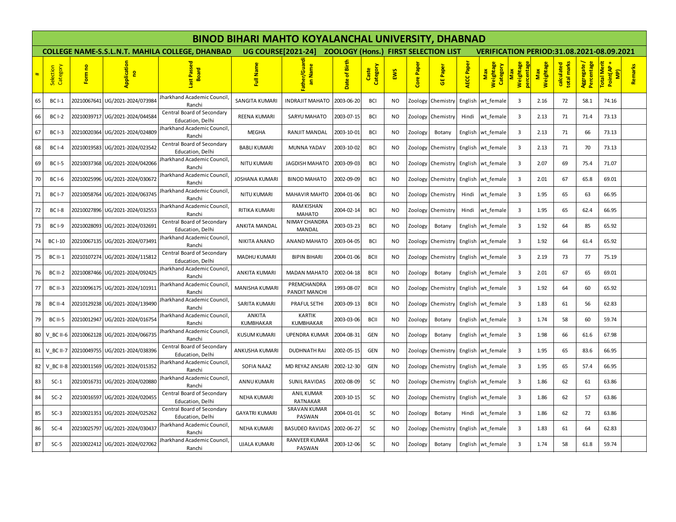|           |                       |             |                                 |                                                        |                           | <b>BINOD BIHARI MAHTO KOYALANCHAL UNIVERSITY, DHABNAD</b> |                                             |                   |           |            |                   |            |                                                  |                                           |                  |                           |                           |                                  |         |  |  |  |
|-----------|-----------------------|-------------|---------------------------------|--------------------------------------------------------|---------------------------|-----------------------------------------------------------|---------------------------------------------|-------------------|-----------|------------|-------------------|------------|--------------------------------------------------|-------------------------------------------|------------------|---------------------------|---------------------------|----------------------------------|---------|--|--|--|
|           |                       |             |                                 | <b>COLLEGE NAME-S.S.L.N.T. MAHILA COLLEGE. DHANBAD</b> | <b>UG COURSE[2021-24]</b> |                                                           | <b>ZOOLOGY (Hons.) FIRST SELECTION LIST</b> |                   |           |            |                   |            | <b>VERIFICATION PERIOD:31.08.2021-08.09.2021</b> |                                           |                  |                           |                           |                                  |         |  |  |  |
| $\ddot{}$ | Selection<br>Category | Form no     | Application<br>g                | st Passe<br>Board                                      | Full Name                 | Father/Guard<br>an Name                                   | Birth<br>৳<br>Date                          | Category<br>Caste | EWS       | Core Paper | Paper<br>ö        | AECC Paper | Weightage<br>Category<br>Max                     | Weightage<br><b>rcentag</b><br><b>Nay</b> | Weightage<br>Max | calculated<br>total marks | Aggregate /<br>Percentage | Total Merit<br>Point(AP +<br>MP) | Remarks |  |  |  |
| 65        | <b>BC I-1</b>         | 20210067641 | UG/2021-2024/073984             | Iharkhand Academic Council<br>Ranchi                   | <b>SANGITA KUMARI</b>     | <b>INDRAJIT MAHATO</b>                                    | 2003-06-20                                  | <b>BCI</b>        | NO        | Zoology    | Chemistry         | English    | wt female                                        | 3                                         | 2.16             | 72                        | 58.1                      | 74.16                            |         |  |  |  |
| 66        | <b>BC I-2</b>         | 20210039717 | UG/2021-2024/044584             | Central Board of Secondary<br>Education, Delhi         | <b>REENA KUMARI</b>       | <b>SARYU MAHATO</b>                                       | 2003-07-15                                  | <b>BCI</b>        | NO.       | Zoology    | Chemistry         | Hindi      | wt female                                        | 3                                         | 2.13             | 71                        | 71.4                      | 73.13                            |         |  |  |  |
| 67        | <b>BC I-3</b>         | 20210020364 | UG/2021-2024/024809             | harkhand Academic Council<br>Ranchi                    | <b>MEGHA</b>              | RANJIT MANDAL                                             | 2003-10-01                                  | <b>BCI</b>        | <b>NO</b> | Zoology    | Botany            |            | English wt female                                | 3                                         | 2.13             | 71                        | 66                        | 73.13                            |         |  |  |  |
| 68        | <b>BC I-4</b>         | 20210019583 | UG/2021-2024/023542             | Central Board of Secondary<br>Education, Delhi         | <b>BABLI KUMARI</b>       | <b>MUNNA YADAV</b>                                        | 2003-10-02                                  | <b>BCI</b>        | <b>NO</b> | Zoology    | Chemistry         |            | English wt_female                                | 3                                         | 2.13             | 71                        | 70                        | 73.13                            |         |  |  |  |
| 69        | <b>BC I-5</b>         | 20210037368 | UG/2021-2024/042066             | harkhand Academic Council<br>Ranchi                    | <b>NITU KUMARI</b>        | <b>JAGDISH MAHATO</b>                                     | 2003-09-03                                  | <b>BCI</b>        | NO.       | Zoology    | Chemistry         |            | English wt female                                | 3                                         | 2.07             | 69                        | 75.4                      | 71.07                            |         |  |  |  |
| 70        | <b>BC I-6</b>         |             | 20210025996 UG/2021-2024/030672 | harkhand Academic Council<br>Ranchi                    | JOSHANA KUMARI            | <b>BINOD MAHATO</b>                                       | 2002-09-09                                  | <b>BCI</b>        | <b>NO</b> |            | Zoology Chemistry |            | English wt female                                | 3                                         | 2.01             | 67                        | 65.8                      | 69.01                            |         |  |  |  |
| 71        | <b>BC I-7</b>         | 20210058764 | UG/2021-2024/063745             | harkhand Academic Council<br>Ranchi                    | <b>NITU KUMARI</b>        | <b>MAHAVIR MAHTO</b>                                      | 2004-01-06                                  | <b>BCI</b>        | NO.       | Zoology    | Chemistry         | Hindi      | wt female                                        | 3                                         | 1.95             | 65                        | 63                        | 66.95                            |         |  |  |  |
| 72        | <b>BCI-8</b>          | 20210027896 | UG/2021-2024/032553             | harkhand Academic Council<br>Ranchi                    | RITIKA KUMARI             | <b>RAM KISHAN</b><br><b>MAHATO</b>                        | 2004-02-14                                  | <b>BCI</b>        | NO.       | Zoology    | Chemistry         | Hindi      | wt female                                        | 3                                         | 1.95             | 65                        | 62.4                      | 66.95                            |         |  |  |  |
| 73        | <b>BC I-9</b>         | 20210028093 | UG/2021-2024/032691             | Central Board of Secondary<br>Education, Delhi         | <b>ANKITA MANDAL</b>      | NIMAY CHANDRA<br>MANDAL                                   | 2003-03-23                                  | <b>BCI</b>        | <b>NO</b> | Zoology    | Botany            |            | English wt female                                | 3                                         | 1.92             | 64                        | 85                        | 65.92                            |         |  |  |  |
| 74        | <b>BC I-10</b>        | 20210067135 | UG/2021-2024/073491             | harkhand Academic Council<br>Ranchi                    | <b>NIKITA ANAND</b>       | ANAND MAHATO                                              | 2003-04-05                                  | <b>BCI</b>        | <b>NO</b> | Zoology    | Chemistry         | English    | wt female                                        | 3                                         | 1.92             | 64                        | 61.4                      | 65.92                            |         |  |  |  |
| 75        | <b>BC II-1</b>        | 20210107274 | UG/2021-2024/115812             | Central Board of Secondary<br>Education, Delhi         | MADHU KUMARI              | <b>BIPIN BIHARI</b>                                       | 2004-01-06                                  | <b>BCII</b>       | <b>NO</b> | Zoology    | Chemistry         |            | English wt female                                | $\overline{3}$                            | 2.19             | 73                        | 77                        | 75.19                            |         |  |  |  |
| 76        | <b>BC II-2</b>        | 20210087466 | UG/2021-2024/092425             | harkhand Academic Council<br>Ranchi                    | <b>ANKITA KUMARI</b>      | <b>MADAN MAHATO</b>                                       | 2002-04-18                                  | <b>BCII</b>       | NO.       | Zoology    | Botany            |            | English wt_female                                | 3                                         | 2.01             | 67                        | 65                        | 69.01                            |         |  |  |  |
| 77        | <b>BC II-3</b>        | 20210096175 | UG/2021-2024/101911             | harkhand Academic Council<br>Ranchi                    | <b>MANISHA KUMARI</b>     | PREMCHANDRA<br>PANDIT MANCHI                              | 1993-08-07                                  | <b>BCII</b>       | <b>NO</b> | Zoology    | Chemistry         | English    | wt female                                        | 3                                         | 1.92             | 64                        | 60                        | 65.92                            |         |  |  |  |
| 78        | <b>BC II-4</b>        | 20210129238 | UG/2021-2024/139490             | harkhand Academic Council<br>Ranchi                    | SARITA KUMARI             | PRAFUL SETHI                                              | 2003-09-13                                  | <b>BCII</b>       | <b>NO</b> | Zoology    | Chemistry         |            | English wt female                                | $\overline{3}$                            | 1.83             | 61                        | 56                        | 62.83                            |         |  |  |  |
| 79        | <b>BC II-5</b>        | 20210012947 | UG/2021-2024/016754             | harkhand Academic Council,<br>Ranchi                   | ANKITA<br>KUMBHAKAR       | <b>KARTIK</b><br>KUMBHAKAR                                | 2003-03-06                                  | <b>BCII</b>       | NO.       | Zoology    | Botany            |            | English wt female                                | 3                                         | 1.74             | 58                        | 60                        | 59.74                            |         |  |  |  |
| 80        | V BC II-6             | 20210062128 | UG/2021-2024/066735             | harkhand Academic Council<br>Ranchi                    | <b>KUSUM KUMARI</b>       | <b>UPENDRA KUMAR</b>                                      | 2004-08-31                                  | <b>GEN</b>        | NO.       | Zoology    | Botany            |            | English wt_female                                | 3                                         | 1.98             | 66                        | 61.6                      | 67.98                            |         |  |  |  |
|           | 81 V_BC II-7          | 20210049755 | UG/2021-2024/038396             | Central Board of Secondary<br>Education, Delhi         | ANKUSHA KUMARI            | <b>DUDHNATH RAI</b>                                       | 2002-05-15                                  | <b>GEN</b>        | <b>NO</b> |            | Zoology Chemistry |            | English wt female                                | 3                                         | 1.95             | 65                        | 83.6                      | 66.95                            |         |  |  |  |
| 82        | V BC II-8             | 20210011569 | UG/2021-2024/015352             | harkhand Academic Council<br>Ranchi                    | <b>SOFIA NAAZ</b>         | MD REYAZ ANSARI                                           | 2002-12-30                                  | <b>GEN</b>        | NO.       | Zoology    | Chemistry         |            | English wt female                                | 3                                         | 1.95             | 65                        | 57.4                      | 66.95                            |         |  |  |  |
| 83        | $SC-1$                | 20210016731 | UG/2021-2024/020880             | harkhand Academic Council<br>Ranchi                    | ANNU KUMARI               | <b>SUNIL RAVIDAS</b>                                      | 2002-08-09                                  | SC                | NO        | Zoology    | Chemistry         |            | English wt female                                | $\overline{3}$                            | 1.86             | 62                        | 61                        | 63.86                            |         |  |  |  |
| 84        | $SC-2$                | 20210016597 | UG/2021-2024/020455             | Central Board of Secondary<br>Education. Delhi         | <b>NEHA KUMARI</b>        | <b>ANIL KUMAR</b><br>RATNAKAR                             | 2003-10-15                                  | SC                | NO.       | Zoology    | Chemistry         |            | English wt female                                | 3                                         | 1.86             | 62                        | 57                        | 63.86                            |         |  |  |  |
| 85        | $SC-3$                | 20210021351 | UG/2021-2024/025262             | Central Board of Secondary<br>Education, Delhi         | <b>GAYATRI KUMARI</b>     | SRAVAN KUMAR<br>PASWAN                                    | 2004-01-01                                  | SC                | <b>NO</b> | Zoology    | Botany            | Hindi      | wt female                                        | 3                                         | 1.86             | 62                        | 72                        | 63.86                            |         |  |  |  |
| 86        | $SC-4$                | 20210025797 | UG/2021-2024/030437             | harkhand Academic Council<br>Ranchi                    | <b>NEHA KUMARI</b>        | <b>BASUDEO RAVIDAS</b>                                    | 2002-06-27                                  | SC                | NO        | Zoology    | Chemistry         |            | English wt female                                | 3                                         | 1.83             | 61                        | 64                        | 62.83                            |         |  |  |  |
| 87        | $SC-5$                | 20210022412 | UG/2021-2024/027062             | harkhand Academic Council<br>Ranchi                    | <b>UJALA KUMARI</b>       | RANVEER KUMAR<br>PASWAN                                   | 2003-12-06                                  | SC                | <b>NO</b> | Zoology    | Botany            |            | English wt_female                                | 3                                         | 1.74             | 58                        | 61.8                      | 59.74                            |         |  |  |  |
|           |                       |             |                                 |                                                        |                           |                                                           |                                             |                   |           |            |                   |            |                                                  |                                           |                  |                           |                           |                                  |         |  |  |  |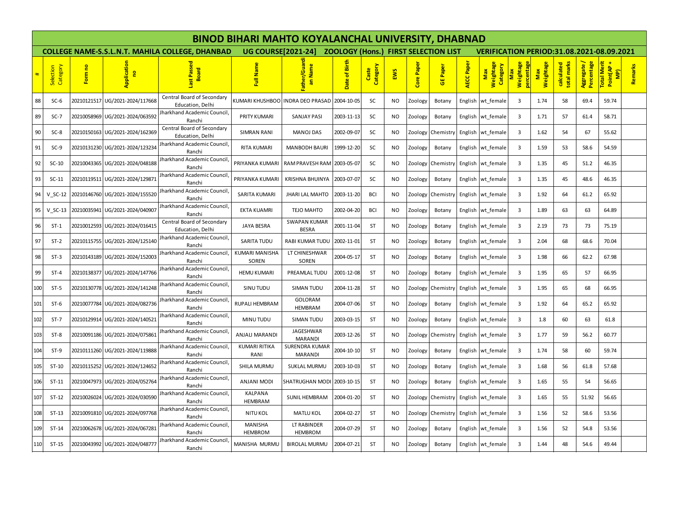|     |                       |             |                                 |                                                        |                                | <b>BINOD BIHARI MAHTO KOYALANCHAL UNIVERSITY, DHABNAD</b> |                                             |                   |           |            |                 |            |                                                  |                                 |                  |                           |                           |                                               |         |  |  |
|-----|-----------------------|-------------|---------------------------------|--------------------------------------------------------|--------------------------------|-----------------------------------------------------------|---------------------------------------------|-------------------|-----------|------------|-----------------|------------|--------------------------------------------------|---------------------------------|------------------|---------------------------|---------------------------|-----------------------------------------------|---------|--|--|
|     |                       |             |                                 | <b>COLLEGE NAME-S.S.L.N.T. MAHILA COLLEGE. DHANBAD</b> | <b>UG COURSE[2021-24]</b>      |                                                           | <b>ZOOLOGY (Hons.) FIRST SELECTION LIST</b> |                   |           |            |                 |            | <b>VERIFICATION PERIOD:31.08.2021-08.09.2021</b> |                                 |                  |                           |                           |                                               |         |  |  |
|     | Selection<br>Category | Form no     | Application<br>$\mathbf{e}$     | Passed<br><b>Board</b>                                 | Full Name                      | ather/Guard<br>an Name                                    | Birth<br>ិ<br><b>Date</b>                   | Category<br>Caste | EWS       | Core Paper | <b>GE Paper</b> | AECC Paper | Weightage<br>Category<br>Max                     | Weightage<br>enta<br><b>Max</b> | Max<br>Weightage | calculated<br>total marks | Aggregate /<br>Percentage | <mark>Total Merit</mark><br>Point(AP +<br>MP) | Remarks |  |  |
| 88  | $SC-6$                | 20210121517 | UG/2021-2024/117668             | Central Board of Secondary<br>Education, Delhi         |                                | KUMARI KHUSHBOO INDRA DEO PRASAD                          | 2004-10-05                                  | SC                | <b>NO</b> | Zoology    | Botany          | English    | wt female                                        | 3                               | 1.74             | 58                        | 69.4                      | 59.74                                         |         |  |  |
| 89  | $SC-7$                |             | 20210058969 UG/2021-2024/063592 | Jharkhand Academic Council,<br>Ranchi                  | PRITY KUMARI                   | <b>SANJAY PASI</b>                                        | 2003-11-13                                  | SC                | <b>NO</b> | Zoology    | Botany          |            | English wt female                                | $\overline{3}$                  | 1.71             | 57                        | 61.4                      | 58.71                                         |         |  |  |
| 90  | $SC-8$                | 20210150163 | UG/2021-2024/162369             | Central Board of Secondary<br>Education, Delhi         | <b>SIMRAN RANI</b>             | <b>MANOJ DAS</b>                                          | 2002-09-07                                  | SC                | <b>NO</b> | Zoology    | Chemistry       |            | English wt female                                | $\overline{3}$                  | 1.62             | 54                        | 67                        | 55.62                                         |         |  |  |
| 91  | $SC-9$                | 20210131230 | UG/2021-2024/123234             | Jharkhand Academic Council<br>Ranchi                   | RITA KUMARI                    | <b>MANBODH BAURI</b>                                      | 1999-12-20                                  | SC                | <b>NO</b> | Zoology    | Botany          | English    | wt female                                        | 3                               | 1.59             | 53                        | 58.6                      | 54.59                                         |         |  |  |
| 92  | $SC-10$               | 20210043365 | UG/2021-2024/048188             | Jharkhand Academic Council<br>Ranchi                   | PRIYANKA KUMARI                | RAM PRAVESH RAM 2003-05-07                                |                                             | SC                | <b>NO</b> | Zoology    | Chemistry       |            | English wt female                                | $\overline{3}$                  | 1.35             | 45                        | 51.2                      | 46.35                                         |         |  |  |
| 93  | $SC-11$               | 20210119511 | UG/2021-2024/129871             | Iharkhand Academic Council<br>Ranchi                   | PRIYANKA KUMARI                | KRISHNA BHUINYA                                           | 2003-07-07                                  | SC                | <b>NO</b> | Zoology    | Botany          |            | English wt_female                                | $\overline{3}$                  | 1.35             | 45                        | 48.6                      | 46.35                                         |         |  |  |
| 94  | $V_SC-12$             | 20210146760 | UG/2021-2024/155520             | Jharkhand Academic Council<br>Ranchi                   | SARITA KUMARI                  | <b>JHARI LAL MAHTO</b>                                    | 2003-11-20                                  | <b>BCI</b>        | <b>NO</b> | Zoology    | Chemistry       | English    | wt_female                                        | $\overline{3}$                  | 1.92             | 64                        | 61.2                      | 65.92                                         |         |  |  |
| 95  | $V_SC-13$             | 20210035941 | UG/2021-2024/040907             | Iharkhand Academic Council<br>Ranchi                   | <b>EKTA KUAMRI</b>             | <b>TEJO MAHTO</b>                                         | 2002-04-20                                  | <b>BCI</b>        | <b>NO</b> | Zoology    | Botany          |            | English wt female                                | 3                               | 1.89             | 63                        | 63                        | 64.89                                         |         |  |  |
| 96  | $ST-1$                |             | 20210012593 UG/2021-2024/016415 | Central Board of Secondary<br>Education, Delhi         | <b>JAYA BESRA</b>              | <b>SWAPAN KUMAR</b><br><b>BESRA</b>                       | 2001-11-04                                  | <b>ST</b>         | <b>NO</b> | Zoology    | Botany          |            | English wt female                                | $\overline{3}$                  | 2.19             | 73                        | 73                        | 75.19                                         |         |  |  |
| 97  | $ST-2$                | 20210115755 | UG/2021-2024/125140             | Jharkhand Academic Council<br>Ranchi                   | <b>SARITA TUDU</b>             | RABI KUMAR TUDU                                           | 2002-11-01                                  | <b>ST</b>         | <b>NO</b> | Zoology    | Botany          | English    | wt_female                                        | 3                               | 2.04             | 68                        | 68.6                      | 70.04                                         |         |  |  |
| 98  | $ST-3$                | 20210143189 | UG/2021-2024/152003             | <b>Iharkhand Academic Council</b><br>Ranchi            | <b>KUMARI MANISHA</b><br>SOREN | LT CHINESHWAR<br>SOREN                                    | 2004-05-17                                  | <b>ST</b>         | <b>NO</b> | Zoology    | Botany          |            | English wt female                                | 3                               | 1.98             | 66                        | 62.2                      | 67.98                                         |         |  |  |
| 99  | $ST-4$                |             | 20210138377 UG/2021-2024/147766 | Jharkhand Academic Council<br>Ranchi                   | <b>HEMU KUMARI</b>             | PREAMLAL TUDU                                             | 2001-12-08                                  | <b>ST</b>         | <b>NO</b> | Zoology    | Botany          |            | English wt female                                | $\overline{3}$                  | 1.95             | 65                        | 57                        | 66.95                                         |         |  |  |
| 100 | $ST-5$                | 20210130778 | UG/2021-2024/141248             | Jharkhand Academic Council<br>Ranchi                   | SINU TUDU                      | <b>SIMAN TUDU</b>                                         | 2004-11-28                                  | <b>ST</b>         | NO.       | Zoology    | Chemistry       | English    | wt_female                                        | $\overline{3}$                  | 1.95             | 65                        | 68                        | 66.95                                         |         |  |  |
| 101 | $ST-6$                | 20210077784 | UG/2021-2024/082736             | Jharkhand Academic Council<br>Ranchi                   | RUPALI HEMBRAM                 | <b>GOLORAM</b><br><b>HEMBRAM</b>                          | 2004-07-06                                  | <b>ST</b>         | <b>NO</b> | Zoology    | Botany          |            | English wt female                                | 3                               | 1.92             | 64                        | 65.2                      | 65.92                                         |         |  |  |
| 102 | $ST-7$                |             |                                 | <b>Iharkhand Academic Council</b><br>Ranchi            | MINU TUDU                      | SIMAN TUDU                                                | 2003-03-15                                  | <b>ST</b>         | <b>NO</b> | Zoology    | Botany          |            | English wt_female                                | 3                               | 1.8              | 60                        | 63                        | 61.8                                          |         |  |  |
| 103 | $ST-8$                |             | 20210091186 UG/2021-2024/075861 | Iharkhand Academic Council<br>Ranchi                   | ANJALI MARANDI                 | JAGESHWAR<br>MARANDI                                      | 2003-12-26                                  | <b>ST</b>         | <b>NO</b> | Zoology    | Chemistry       | English    | wt female                                        | $\overline{3}$                  | 1.77             | 59                        | 56.2                      | 60.77                                         |         |  |  |
| 104 | $ST-9$                | 20210111260 | UG/2021-2024/119888             | Jharkhand Academic Council<br>Ranchi                   | <b>KUMARI RITIKA</b><br>RANI   | <b>SURENDRA KUMAR</b><br><b>MARANDI</b>                   | 2004-10-10                                  | <b>ST</b>         | <b>NO</b> | Zoology    | Botany          |            | English wt_female                                | $\overline{3}$                  | 1.74             | 58                        | 60                        | 59.74                                         |         |  |  |
| 105 | $ST-10$               | 20210115252 | UG/2021-2024/124652             | <b>Iharkhand Academic Council</b><br>Ranchi            | SHILA MURMU                    | <b>SUKLAL MURMU</b>                                       | 2003-10-03                                  | <b>ST</b>         | <b>NO</b> | Zoology    | Botany          |            | English wt female                                | $\overline{3}$                  | 1.68             | 56                        | 61.8                      | 57.68                                         |         |  |  |
| 106 | $ST-11$               | 20210047973 | UG/2021-2024/052764             | <b>Iharkhand Academic Council</b><br>Ranchi            | <b>ANJANI MODI</b>             | SHATRUGHAN MOD                                            | 2003-10-15                                  | <b>ST</b>         | <b>NO</b> | Zoology    | Botany          |            | English wt female                                | $\overline{3}$                  | 1.65             | 55                        | 54                        | 56.65                                         |         |  |  |
| 107 | $ST-12$               | 20210026024 | UG/2021-2024/030590             | Jharkhand Academic Council<br>Ranchi                   | KALPANA<br>HEMBRAM             | <b>SUNIL HEMBRAM</b>                                      | 2004-01-20                                  | <b>ST</b>         | <b>NO</b> | Zoology    | Chemistry       |            | English wt female                                | $\overline{3}$                  | 1.65             | 55                        | 51.92                     | 56.65                                         |         |  |  |
| 108 | $ST-13$               |             | 20210091810 UG/2021-2024/097768 | Jharkhand Academic Council,<br>Ranchi                  | <b>NITU KOL</b>                | <b>MATLU KOL</b>                                          | 2004-02-27                                  | <b>ST</b>         | <b>NO</b> | Zoology    | Chemistry       |            | English wt female                                | 3                               | 1.56             | 52                        | 58.6                      | 53.56                                         |         |  |  |
| 109 | $ST-14$               | 20210062678 | UG/2021-2024/067281             | Iharkhand Academic Council<br>Ranchi                   | MANISHA<br><b>HEMBROM</b>      | LT RABINDER<br>HEMBROM                                    | 2004-07-29                                  | <b>ST</b>         | <b>NO</b> | Zoology    | Botany          | English    | wt female                                        | 3                               | 1.56             | 52                        | 54.8                      | 53.56                                         |         |  |  |
| 110 | $ST-15$               | 20210043992 | UG/2021-2024/048777             | Jharkhand Academic Council<br>Ranchi                   | MANISHA MURMU                  | <b>BIROLAL MURMU</b>                                      | 2004-07-21                                  | <b>ST</b>         | <b>NO</b> | Zoology    | Botany          |            | English wt_female                                | 3                               | 1.44             | 48                        | 54.6                      | 49.44                                         |         |  |  |
|     |                       |             |                                 |                                                        |                                |                                                           |                                             |                   |           |            |                 |            |                                                  |                                 |                  |                           |                           |                                               |         |  |  |